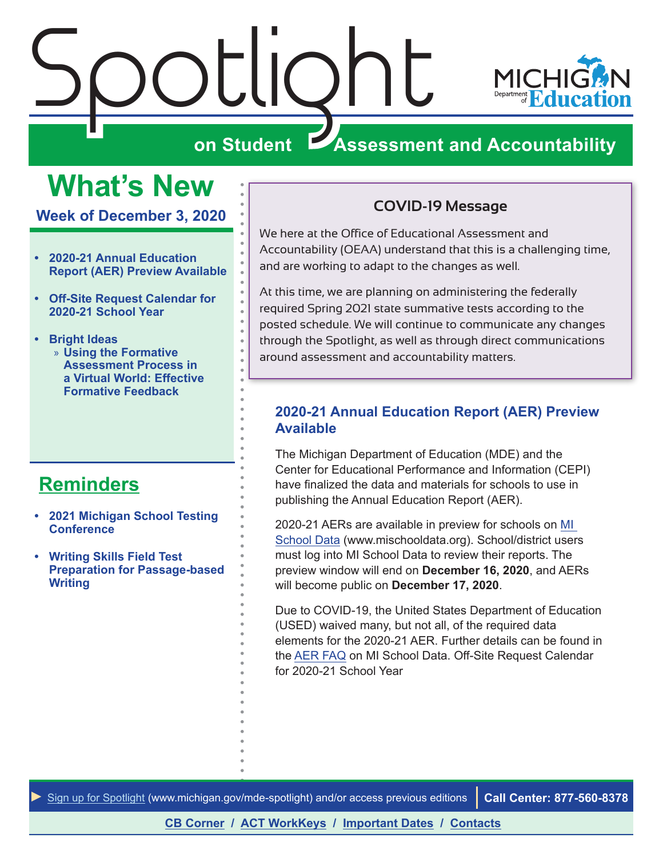<span id="page-0-0"></span>



# **ZASSESSMENT AND ACCOUNTABILITY**

# **What's New**

**Week of December 3, 2020**

- **• 2020-21 Annual Education Report (AER) Preview Available**
- **• [Off-Site Request Calendar for](#page-1-0)  [2020-21 School Year](#page-1-0)**
- **• [Bright Ideas](#page-4-0)** » **[Using the Formative](#page-4-0)  [Assessment Process in](#page-4-0)  [a Virtual World: Effective](#page-4-0)  [Formative Feedback](#page-4-0)**

# **[Reminders](#page-2-0)**

- **• [2021 Michigan School Testing](#page-2-0)  [Conference](#page-2-0)**
- **• [Writing Skills Field Test](#page-3-0)  [Preparation for Passage-based](#page-3-0)  [Writing](#page-3-0)**

#### **COVID-19 Message**

We here at the Office of Educational Assessment and Accountability (OEAA) understand that this is a challenging time, and are working to adapt to the changes as well.

At this time, we are planning on administering the federally required Spring 2021 state summative tests according to the posted schedule. We will continue to communicate any changes through the Spotlight, as well as through direct communications around assessment and accountability matters.

#### **2020-21 Annual Education Report (AER) Preview Available**

The Michigan Department of Education (MDE) and the Center for Educational Performance and Information (CEPI) have finalized the data and materials for schools to use in publishing the Annual Education Report (AER).

2020-21 AERs are available in preview for schools on [MI](http://www.mischooldata.org)  [School Data](http://www.mischooldata.org) (www.mischooldata.org). School/district users must log into MI School Data to review their reports. The preview window will end on **December 16, 2020**, and AERs will become public on **December 17, 2020**.

Due to COVID-19, the United States Department of Education (USED) waived many, but not all, of the required data elements for the 2020-21 AER. Further details can be found in the [AER FAQ](https://www.michigan.gov/documents/cepi/2020-21_AER_Memo_and_FAQ_FINAL_708975_7.pdf) on MI School Data. Off-Site Request Calendar for 2020-21 School Year

*►* [Sign up for Spotlight](https://public.govdelivery.com/accounts/MIMDE/subscriber/new) ([www.michigan.gov/mde](www.michigan.gov/mde-spotlight)-spotlight) and/or access previous editions **Call Center: 877-560-8378**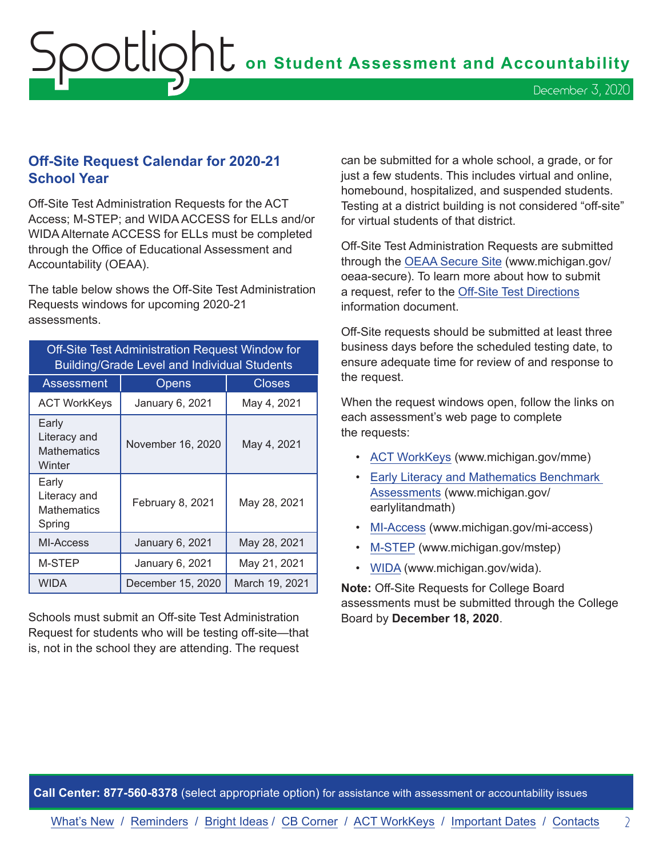#### <span id="page-1-0"></span>**Off-Site Request Calendar for 2020-21 School Year**

Off-Site Test Administration Requests for the ACT Access; M-STEP; and WIDA ACCESS for ELLs and/or WIDA Alternate ACCESS for ELLs must be completed through the Office of Educational Assessment and Accountability (OEAA).

The table below shows the Off-Site Test Administration Requests windows for upcoming 2020-21 assessments.

| <b>Off-Site Test Administration Request Window for</b><br><b>Building/Grade Level and Individual Students</b> |                   |                |
|---------------------------------------------------------------------------------------------------------------|-------------------|----------------|
| Assessment                                                                                                    | Opens             | <b>Closes</b>  |
| <b>ACT WorkKeys</b>                                                                                           | January 6, 2021   | May 4, 2021    |
| Early<br>Literacy and<br><b>Mathematics</b><br>Winter                                                         | November 16, 2020 | May 4, 2021    |
| Early<br>Literacy and<br><b>Mathematics</b><br>Spring                                                         | February 8, 2021  | May 28, 2021   |
| MI-Access                                                                                                     | January 6, 2021   | May 28, 2021   |
| M-STEP                                                                                                        | January 6, 2021   | May 21, 2021   |
| WIDA                                                                                                          | December 15, 2020 | March 19, 2021 |

Schools must submit an Off-site Test Administration Request for students who will be testing off-site—that is, not in the school they are attending. The request

can be submitted for a whole school, a grade, or for just a few students. This includes virtual and online, homebound, hospitalized, and suspended students. Testing at a district building is not considered "off-site" for virtual students of that district.

Off-Site Test Administration Requests are submitted through the [OEAA Secure Site](http://www.michigan.gov/oeaa-secure) (www.michigan.gov/ oeaa-secure). To learn more about how to submit a request, refer to the [Off-Site Test Directions](https://www.michigan.gov/documents/mde/Off_Site_Test_Directions_679853_7.pdf) information document.

Off-Site requests should be submitted at least three business days before the scheduled testing date, to ensure adequate time for review of and response to the request.

When the request windows open, follow the links on each assessment's web page to complete the requests:

- [ACT WorkKeys](www.michigan.gov/mme) (www.michigan.gov/mme)
- [Early Literacy and Mathematics Benchmark](www.michigan.gov/earlylitandmath)  [Assessments](www.michigan.gov/earlylitandmath) (www.michigan.gov/ earlylitandmath)
- [MI-Access](http://www.michigan.gov/mi-access) (www.michigan.gov/mi-access)
- [M-STEP](www.michigan.gov/mstep) (www.michigan.gov/mstep)
- [WIDA](www.michigan.gov/wida) (www.michigan.gov/wida).

**Note:** Off-Site Requests for College Board assessments must be submitted through the College Board by **December 18, 2020**.

**Call Center: 877-560-8378** (select appropriate option) for assistance with assessment or accountability issues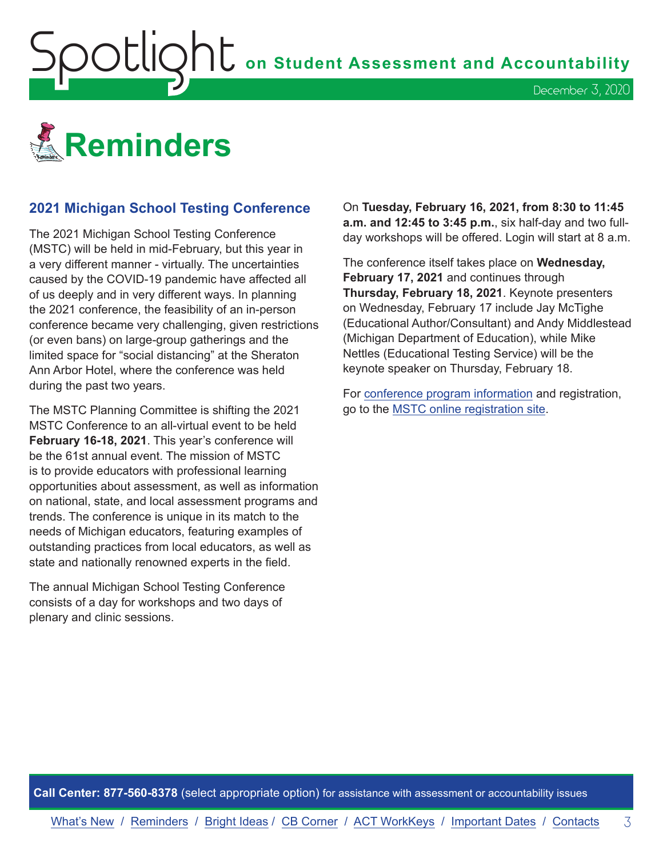<span id="page-2-0"></span>**OOUIQNU** on Student Assessment and Accountability



#### **2021 Michigan School Testing Conference**

The 2021 Michigan School Testing Conference (MSTC) will be held in mid-February, but this year in a very different manner - virtually. The uncertainties caused by the COVID-19 pandemic have affected all of us deeply and in very different ways. In planning the 2021 conference, the feasibility of an in-person conference became very challenging, given restrictions (or even bans) on large-group gatherings and the limited space for "social distancing" at the Sheraton Ann Arbor Hotel, where the conference was held during the past two years.

The MSTC Planning Committee is shifting the 2021 MSTC Conference to an all-virtual event to be held **February 16-18, 2021**. This year's conference will be the 61st annual event. The mission of MSTC is to provide educators with professional learning opportunities about assessment, as well as information on national, state, and local assessment programs and trends. The conference is unique in its match to the needs of Michigan educators, featuring examples of outstanding practices from local educators, as well as state and nationally renowned experts in the field.

The annual Michigan School Testing Conference consists of a day for workshops and two days of plenary and clinic sessions.

On **Tuesday, February 16, 2021, from 8:30 to 11:45 a.m. and 12:45 to 3:45 p.m.**, six half-day and two fullday workshops will be offered. Login will start at 8 a.m.

December 3, 2020

The conference itself takes place on **Wednesday, February 17, 2021** and continues through **Thursday, February 18, 2021**. Keynote presenters on Wednesday, February 17 include Jay McTighe (Educational Author/Consultant) and Andy Middlestead (Michigan Department of Education), while Mike Nettles (Educational Testing Service) will be the keynote speaker on Thursday, February 18.

For [conference program information](http://gomasa.org/wp-content/uploads/mstcPromo2021.pdf) and registration, go to the [MSTC online registration site.](http://gomasa.org/mstc2021)

**Call Center: 877-560-8378** (select appropriate option) for assistance with assessment or accountability issues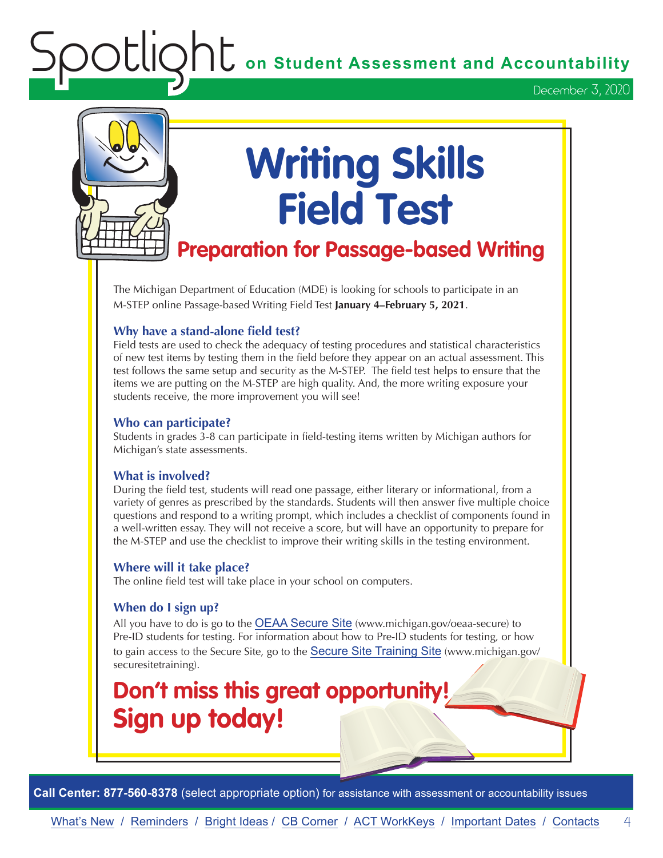**OU** on Student Assessment and Accountability

December 3, 2020

<span id="page-3-0"></span>

# **Writing Skills Field Test**

# **Preparation for Passage-based Writing**

The Michigan Department of Education (MDE) is looking for schools to participate in an M-STEP online Passage-based Writing Field Test **January 4–February 5, 2021**.

#### **Why have a stand-alone field test?**

Field tests are used to check the adequacy of testing procedures and statistical characteristics of new test items by testing them in the field before they appear on an actual assessment. This test follows the same setup and security as the M-STEP. The field test helps to ensure that the items we are putting on the M-STEP are high quality. And, the more writing exposure your students receive, the more improvement you will see!

#### **Who can participate?**

Students in grades 3-8 can participate in field-testing items written by Michigan authors for Michigan's state assessments.

#### **What is involved?**

During the field test, students will read one passage, either literary or informational, from a variety of genres as prescribed by the standards. Students will then answer five multiple choice questions and respond to a writing prompt, which includes a checklist of components found in a well-written essay. They will not receive a score, but will have an opportunity to prepare for the M-STEP and use the checklist to improve their writing skills in the testing environment.

#### **Where will it take place?**

The online field test will take place in your school on computers.

#### **When do I sign up?**

All you have to do is go to the [OEAA Secure Site](http://www.michigan.gov/oeaa-secure) (www.michigan.gov/oeaa-secure) to Pre-ID students for testing. For information about how to Pre-ID students for testing, or how to gain access to the Secure Site, go to the [Secure Site Training Site](http://www.michigan.gov/securesitetraining) (www.michigan.gov/ securesitetraining).

# **Don't miss this great opportunity! Sign up today!**

**Call Center: 877-560-8378** (select appropriate option) for assistance with assessment or accountability issues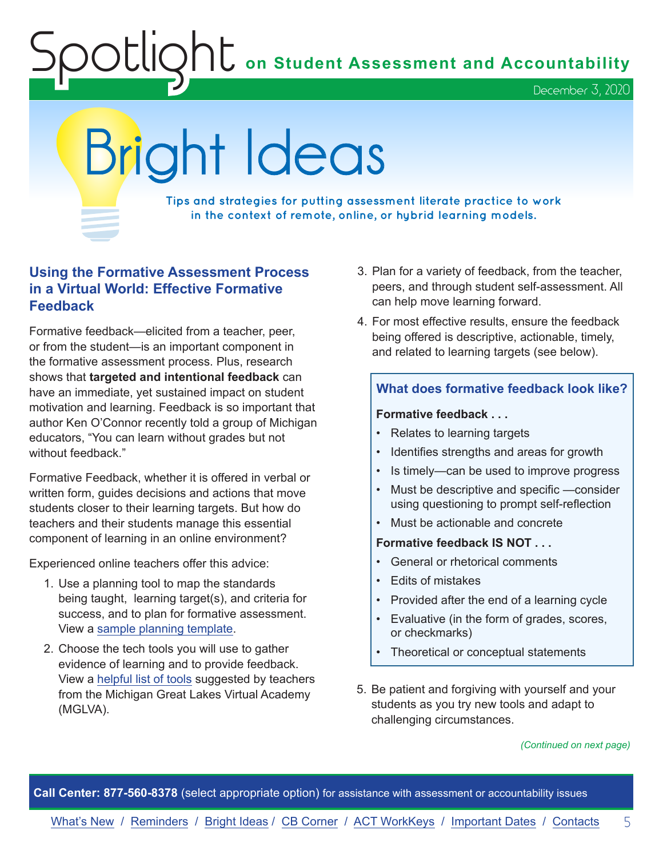**C** on Student Assessment and Accountability

December 3, 2020

# <span id="page-4-0"></span>Bright Ideas

**Tips and strategies for putting assessment literate practice to work in the context of remote, online, or hybrid learning models.**

#### **Using the Formative Assessment Process in a Virtual World: Effective Formative Feedback**

Formative feedback—elicited from a teacher, peer, or from the student—is an important component in the formative assessment process. Plus, research shows that **targeted and intentional feedback** can have an immediate, yet sustained impact on student motivation and learning. Feedback is so important that author Ken O'Connor recently told a group of Michigan educators, "You can learn without grades but not without feedback."

Formative Feedback, whether it is offered in verbal or written form, guides decisions and actions that move students closer to their learning targets. But how do teachers and their students manage this essential component of learning in an online environment?

Experienced online teachers offer this advice:

- 1. Use a planning tool to map the standards being taught, learning target(s), and criteria for success, and to plan for formative assessment. View a [sample planning template](http://famemichigan.org/wp-content/uploads/2017/07/FAME-4.1-Feedback-Planning-blank).
- 2. Choose the tech tools you will use to gather evidence of learning and to provide feedback. View a [helpful list of tools](http://www.michiganassessmentconsortium.org/wp-content/uploads/Teacher-Tech-Tools-and-Formative-Assessment.pdf) suggested by teachers from the Michigan Great Lakes Virtual Academy (MGLVA).
- 3. Plan for a variety of feedback, from the teacher, peers, and through student self-assessment. All can help move learning forward.
- 4. For most effective results, ensure the feedback being offered is descriptive, actionable, timely, and related to learning targets (see below).

#### **What does formative feedback look like?**

#### **Formative feedback . . .**

- Relates to learning targets
- Identifies strengths and areas for growth
- Is timely—can be used to improve progress
- Must be descriptive and specific —consider using questioning to prompt self-reflection
- Must be actionable and concrete

#### **Formative feedback IS NOT . . .**

- General or rhetorical comments
- Edits of mistakes
- Provided after the end of a learning cycle
- Evaluative (in the form of grades, scores, or checkmarks)
- Theoretical or conceptual statements
- 5. Be patient and forgiving with yourself and your students as you try new tools and adapt to challenging circumstances.

#### *(Continued on next page)*

**Call Center: 877-560-8378** (select appropriate option) for assistance with assessment or accountability issues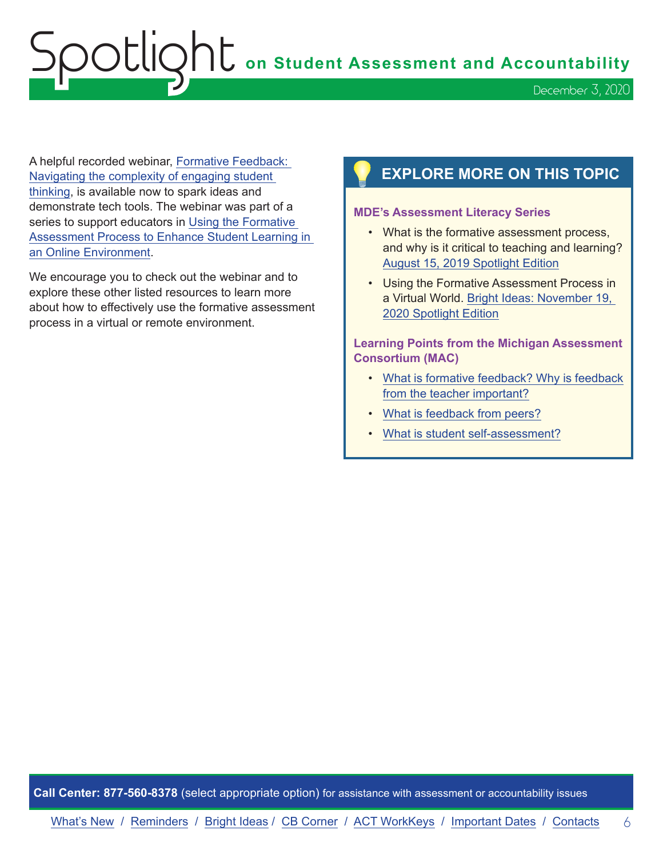Spotlight **on Student Assessment and Accountability**

A helpful recorded webinar, [Formative Feedback:](https://www.michiganassessmentconsortium.org/event/navigating-the-complexity-of-engaging-student-thinking-using-the-formative-assessment-process-to-enhance-student-learning-in-an-online-environment)  [Navigating the complexity of engaging student](https://www.michiganassessmentconsortium.org/event/navigating-the-complexity-of-engaging-student-thinking-using-the-formative-assessment-process-to-enhance-student-learning-in-an-online-environment)  [thinking,](https://www.michiganassessmentconsortium.org/event/navigating-the-complexity-of-engaging-student-thinking-using-the-formative-assessment-process-to-enhance-student-learning-in-an-online-environment) is available now to spark ideas and demonstrate tech tools. The webinar was part of a series to support educators in [Using the Formative](https://www.michiganassessmentconsortium.org/event/using-the-formative-assessment-process-to-enhance-student-learning-in-an-online-environment-getting-started/)  [Assessment Process to Enhance Student Learning in](https://www.michiganassessmentconsortium.org/event/using-the-formative-assessment-process-to-enhance-student-learning-in-an-online-environment-getting-started/)  [an Online Environment.](https://www.michiganassessmentconsortium.org/event/using-the-formative-assessment-process-to-enhance-student-learning-in-an-online-environment-getting-started/)

We encourage you to check out the webinar and to explore these other listed resources to learn more about how to effectively use the formative assessment process in a virtual or remote environment.

## **EXPLORE MORE ON THIS TOPIC**

#### **MDE's Assessment Literacy Series**

- What is the formative assessment process, and why is it critical to teaching and learning? [August 15, 2019 Spotlight Edition](https://www.michigan.gov/documents/mde/Spotlight_8-15-19_663485_7.pdf)
- Using the Formative Assessment Process in a Virtual World. [Bright Ideas: November 19,](https://www.michigan.gov/documents/mde/Spotlight_11-19-20_708352_7.pdf)  [2020 Spotlight Edition](https://www.michigan.gov/documents/mde/Spotlight_11-19-20_708352_7.pdf)

#### **Learning Points from the Michigan Assessment Consortium (MAC)**

- [What is formative feedback? Why is feedback](https://www.michiganassessmentconsortium.org/wp-content/uploads/LP-FORMATIVE-FEEDBACK-1.pdf)  [from the teacher important?](https://www.michiganassessmentconsortium.org/wp-content/uploads/LP-FORMATIVE-FEEDBACK-1.pdf)
- [What is feedback from peers?](https://www.michiganassessmentconsortium.org/wp-content/uploads/LP-PEER-FEEDBACK-2.pdf)
- [What is student self-assessment?](https://www.michiganassessmentconsortium.org/wp-content/uploads/LP-SELF-ASSESSMENT.pdf)

**Call Center: 877-560-8378** (select appropriate option) for assistance with assessment or accountability issues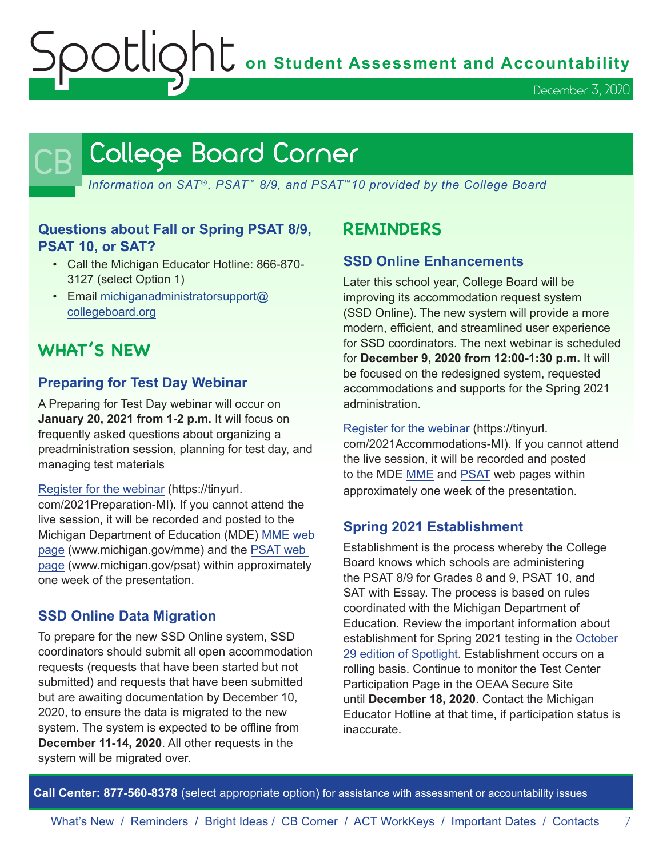Spotlight **on Student Assessment and Accountability**

December 3, 2020

# <span id="page-6-0"></span>College Board Corner

*Information on SAT*®*, PSAT*™ *8/9, and PSAT*™*10 provided by the College Board*

#### **Questions about Fall or Spring PSAT 8/9, PSAT 10, or SAT?**

- Call the Michigan Educator Hotline: 866-870- 3127 (select Option 1)
- Email [michiganadministratorsupport@](mailto:michiganadministratorsupport%40collegeboard.org?subject=) [collegeboard.org](mailto:michiganadministratorsupport%40collegeboard.org?subject=)

# **WHAT'S NEW**

#### **Preparing for Test Day Webinar**

A Preparing for Test Day webinar will occur on **January 20, 2021 from 1-2 p.m.** It will focus on frequently asked questions about organizing a preadministration session, planning for test day, and managing test materials

#### [Register for the webinar](https://tinyurl.com/2021Preparation-MI) (https://tinyurl.

com/2021Preparation-MI). If you cannot attend the live session, it will be recorded and posted to the Michigan Department of Education (MDE) [MME web](www.michigan.gov/mme)  [page](www.michigan.gov/mme) (www.michigan.gov/mme) and the [PSAT web](http://www.michigan.gov/psat)  [page](http://www.michigan.gov/psat) (www.michigan.gov/psat) within approximately one week of the presentation.

#### **SSD Online Data Migration**

To prepare for the new SSD Online system, SSD coordinators should submit all open accommodation requests (requests that have been started but not submitted) and requests that have been submitted but are awaiting documentation by December 10, 2020, to ensure the data is migrated to the new system. The system is expected to be offline from **December 11-14, 2020**. All other requests in the system will be migrated over.

# **REMINDERS**

#### **SSD Online Enhancements**

Later this school year, College Board will be improving its accommodation request system (SSD Online). The new system will provide a more modern, efficient, and streamlined user experience for SSD coordinators. The next webinar is scheduled for **December 9, 2020 from 12:00-1:30 p.m.** It will be focused on the redesigned system, requested accommodations and supports for the Spring 2021 administration.

#### [Register for the webinar](https://tinyurl.com/2021Accommodations-MI) (https://tinyurl.

com/2021Accommodations-MI). If you cannot attend the live session, it will be recorded and posted to the MDE [MME](www.michigan.gov/mme) and [PSAT](http://www.michigan.gov/psat) web pages within approximately one week of the presentation.

#### **Spring 2021 Establishment**

Establishment is the process whereby the College Board knows which schools are administering the PSAT 8/9 for Grades 8 and 9, PSAT 10, and SAT with Essay. The process is based on rules coordinated with the Michigan Department of Education. Review the important information about establishment for Spring 2021 testing in the [October](https://www.michigan.gov/documents/mde/Spotlight_10-29-20_706526_7.pdf)  [29 edition of Spotlight.](https://www.michigan.gov/documents/mde/Spotlight_10-29-20_706526_7.pdf) Establishment occurs on a rolling basis. Continue to monitor the Test Center Participation Page in the OEAA Secure Site until **December 18, 2020**. Contact the Michigan Educator Hotline at that time, if participation status is inaccurate.

**Call Center: 877-560-8378** (select appropriate option) for assistance with assessment or accountability issues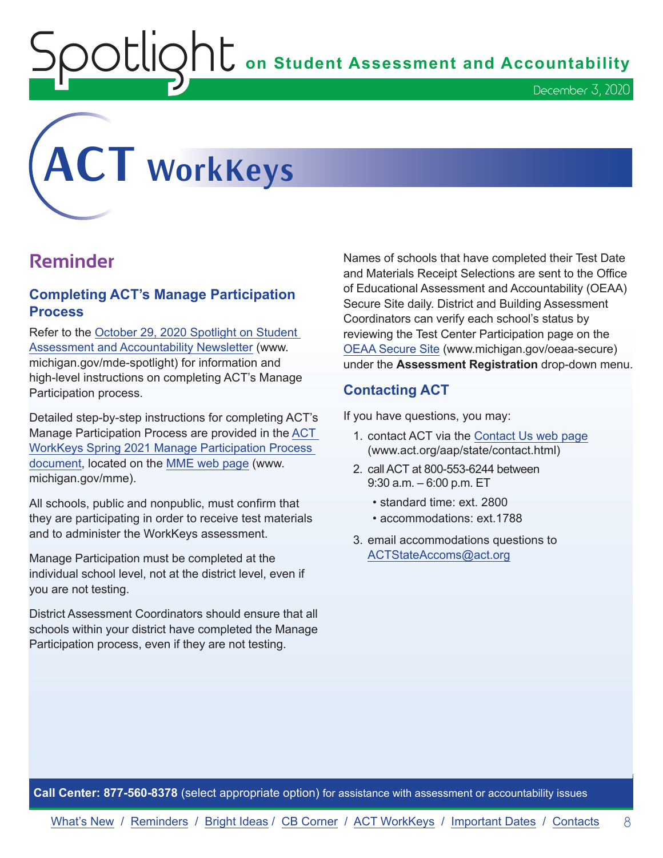$\bigcirc$   $\bigcup$   $\bigcap$   $\bigcup$  on Student Assessment and Accountability

<span id="page-7-0"></span>

# **Reminder**

#### **Completing ACT's Manage Participation Process**

Refer to the [October 29, 2020 Spotlight on Student](https://www.michigan.gov/documents/mde/Spotlight_10-29-20_706526_7.pdf)  [Assessment and Accountability Newsletter](https://www.michigan.gov/documents/mde/Spotlight_10-29-20_706526_7.pdf) (www. michigan.gov/mde-spotlight) for information and high-level instructions on completing ACT's Manage Participation process.

Detailed step-by-step instructions for completing ACT's Manage Participation Process are provided in the [ACT](https://www.michigan.gov/documents/mde/ACT_WorkKeys_Spring_2021_Manage_Participation_Guide_706807_7.pdf)  [WorkKeys Spring 2021 Manage Participation Process](https://www.michigan.gov/documents/mde/ACT_WorkKeys_Spring_2021_Manage_Participation_Guide_706807_7.pdf)  [document](https://www.michigan.gov/documents/mde/ACT_WorkKeys_Spring_2021_Manage_Participation_Guide_706807_7.pdf), located on the [MME web page](www.michigan.gov/mme) (www. michigan.gov/mme).

All schools, public and nonpublic, must confirm that they are participating in order to receive test materials and to administer the WorkKeys assessment.

Manage Participation must be completed at the individual school level, not at the district level, even if you are not testing.

District Assessment Coordinators should ensure that all schools within your district have completed the Manage Participation process, even if they are not testing.

Names of schools that have completed their Test Date and Materials Receipt Selections are sent to the Office of Educational Assessment and Accountability (OEAA) Secure Site daily. District and Building Assessment Coordinators can verify each school's status by reviewing the Test Center Participation page on the [OEAA Secure Site](http://www.michigan.gov/oeaa-secure) (www.michigan.gov/oeaa-secure) under the **Assessment Registration** drop-down menu.

December 3, 2020

#### **Contacting ACT**

If you have questions, you may:

- 1. contact ACT via the [Contact Us web page](http://www.act.org/aap/state/contact.html) [\(www.act.org/aap/state/contact.html\)](https://www.act.org/aap/state/contact.html)
- 2. call ACT at 800-553-6244 between 9:30 a.m. – 6:00 p.m. ET
	- standard time: ext. 2800
	- accommodations: ext.1788
- 3. email accommodations questions to [ACTStateAccoms@act.org](mailto:ACTStateAccoms%40act.org?subject=)

**Call Center: 877-560-8378** (select appropriate option) for assistance with assessment or accountability issues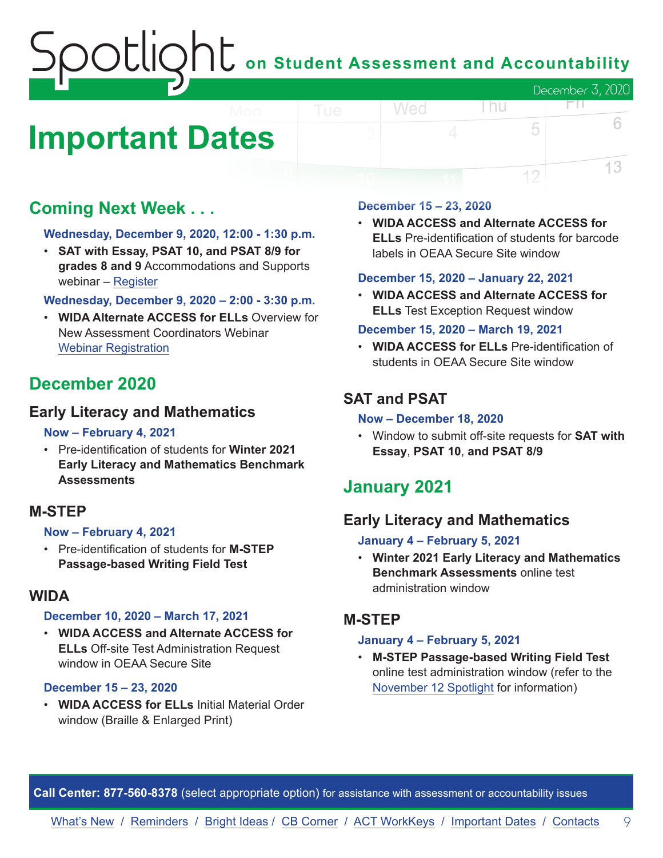# on Student Assessment and Accountability December 3, 2020

# <span id="page-8-0"></span>**Important Dates**

# **Coming Next Week . . .**

#### **Wednesday, December 9, 2020, 12:00 - 1:30 p.m.**

• **SAT with Essay, PSAT 10, and PSAT 8/9 for grades 8 and 9** Accommodations and Supports webinar – [Register](https://tinyurl.com/2021Accommodations-MI)

#### **Wednesday, December 9, 2020 – 2:00 - 3:30 p.m.**

• **WIDA Alternate ACCESS for ELLs** Overview for New Assessment Coordinators Webinar [Webinar Registration](https://fall_2020_wida_alternate_access_for_ells_overview.eventbrite.com)

## **December 2020**

#### **Early Literacy and Mathematics**

#### **Now – February 4, 2021**

• Pre-identification of students for **Winter 2021 Early Literacy and Mathematics Benchmark Assessments**

#### **M-STEP**

#### **Now – February 4, 2021**

• Pre-identification of students for **M-STEP Passage-based Writing Field Test**

#### **WIDA**

#### **December 10, 2020 – March 17, 2021**

• **WIDA ACCESS and Alternate ACCESS for ELLs** Off-site Test Administration Request window in OEAA Secure Site

#### **December 15 – 23, 2020**

• **WIDA ACCESS for ELLs** Initial Material Order window (Braille & Enlarged Print)

#### **December 15 – 23, 2020**

Wed

• **WIDA ACCESS and Alternate ACCESS for ELLs** Pre-identification of students for barcode labels in OEAA Secure Site window

l nu

FП.

5

12

6

13

#### **December 15, 2020 – January 22, 2021**

• **WIDA ACCESS and Alternate ACCESS for ELLs** Test Exception Request window

#### **December 15, 2020 – March 19, 2021**

• **WIDA ACCESS for ELLs** Pre-identification of students in OEAA Secure Site window

## **SAT and PSAT**

#### **Now – December 18, 2020**

• Window to submit off-site requests for **SAT with Essay**, **PSAT 10**, **and PSAT 8/9**

## **January 2021**

#### **Early Literacy and Mathematics**

#### **January 4 – February 5, 2021**

• **Winter 2021 Early Literacy and Mathematics Benchmark Assessments** online test administration window

#### **M-STEP**

#### **January 4 – February 5, 2021**

• **M-STEP Passage-based Writing Field Test** online test administration window (refer to the [November 12 Spotlight](https://www.michigan.gov/documents/mde/Spotlight_11-12-20_707634_7.pdf) for information)

**Call Center: 877-560-8378** (select appropriate option) for assistance with assessment or accountability issues